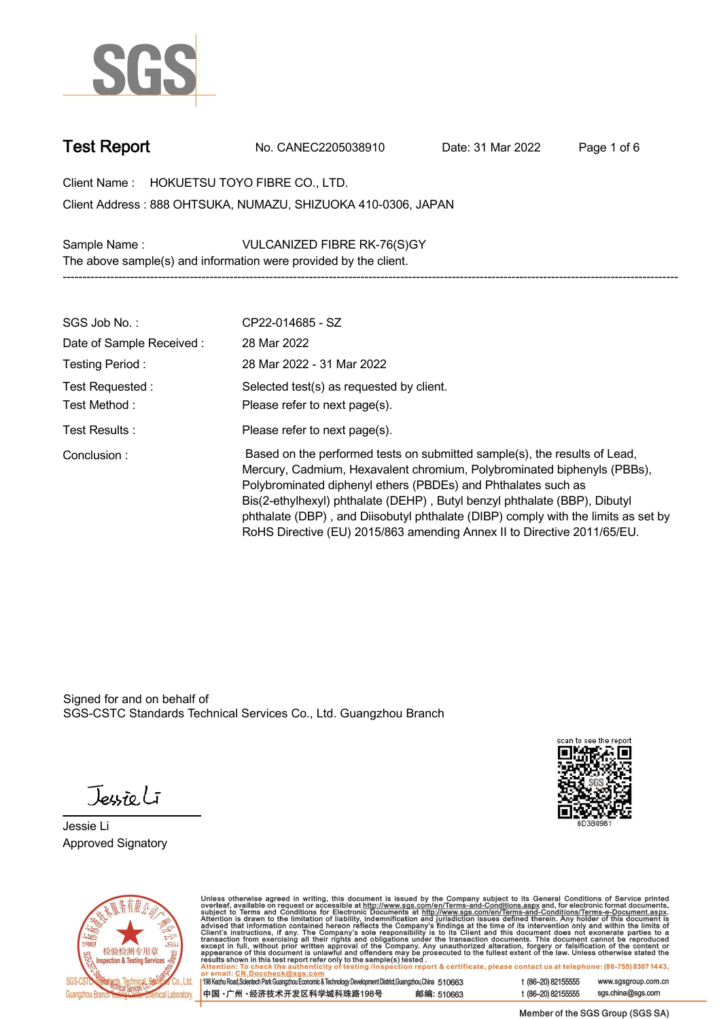

**Test Report. No. CANEC2205038910 . Date: 31 Mar 2022 . Page 1 of 6.**

**Client Name : HOKUETSU TOYO FIBRE CO., LTD. .**

**888 OHTSUKA, NUMAZU, SHIZUOKA 410-0306, JAPAN . Client Address :**

**Sample Name : VULCANIZED FIBRE RK-76(S)GY . The above sample(s) and information were provided by the client.**

| SGS Job No.:                    | CP22-014685 - SZ                                                                                                                                                                                                                                                                                                                                                                                                                                                   |
|---------------------------------|--------------------------------------------------------------------------------------------------------------------------------------------------------------------------------------------------------------------------------------------------------------------------------------------------------------------------------------------------------------------------------------------------------------------------------------------------------------------|
| Date of Sample Received:        | 28 Mar 2022                                                                                                                                                                                                                                                                                                                                                                                                                                                        |
| Testing Period:                 | 28 Mar 2022 - 31 Mar 2022                                                                                                                                                                                                                                                                                                                                                                                                                                          |
| Test Requested:<br>Test Method: | Selected test(s) as requested by client.<br>Please refer to next page(s).                                                                                                                                                                                                                                                                                                                                                                                          |
| Test Results:                   | Please refer to next page(s).                                                                                                                                                                                                                                                                                                                                                                                                                                      |
| Conclusion:                     | Based on the performed tests on submitted sample(s), the results of Lead,<br>Mercury, Cadmium, Hexavalent chromium, Polybrominated biphenyls (PBBs),<br>Polybrominated diphenyl ethers (PBDEs) and Phthalates such as<br>Bis(2-ethylhexyl) phthalate (DEHP), Butyl benzyl phthalate (BBP), Dibutyl<br>phthalate (DBP), and Diisobutyl phthalate (DIBP) comply with the limits as set by<br>RoHS Directive (EU) 2015/863 amending Annex II to Directive 2011/65/EU. |

**-----------------------------------------------------------------------------------------------------------------------------------------------------------**

Signed for and on behalf of SGS-CSTC Standards Technical Services Co., Ltd. Guangzhou Branch.

Jessieli

**Jessie Li. Approved Signatory .**





Unless otherwise agreed in writing, this document is issued by the Company subject to its General Conditions of Service printed<br>overleaf, available on request or accessible at http://www.sgs.com/en/Terms-and-Conditions.as

| 198 Kezhu Road, Scientech Park Guangzhou Economic & Technology Development District, Guangzhou, China 510663 |            |
|--------------------------------------------------------------------------------------------------------------|------------|
| 中国・广州・经济技术开发区科学城科珠路198号                                                                                      | 邮编: 510663 |

t (86-20) 82155555 www.sgsgroup.com.cn sgs.china@sgs.com t (86-20) 82155555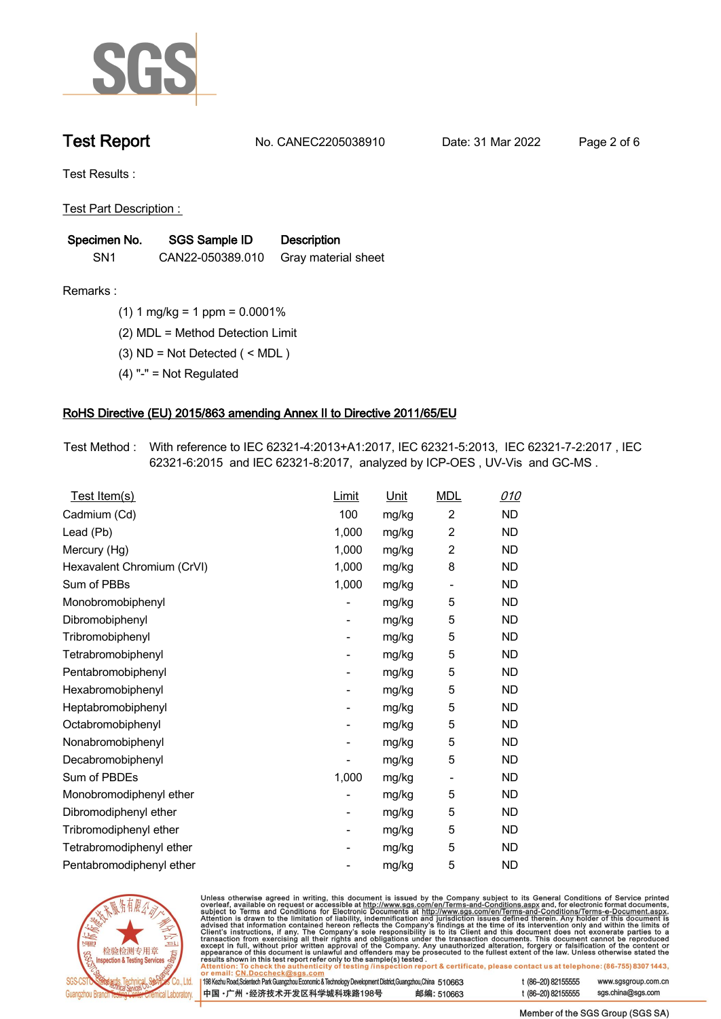

**Test Report. No. CANEC2205038910 . Date: 31 Mar 2022 . Page 2 of 6.**

**Test Results :.**

**Test Part Description : .**

| Specimen No.    | <b>SGS Sample ID</b> | <b>Description</b>  |
|-----------------|----------------------|---------------------|
| SN <sub>1</sub> | CAN22-050389.010     | Gray material sheet |

- **Remarks :.(1) 1 mg/kg = 1 ppm = 0.0001% .**
	- **(2) MDL = Method Detection Limit .**
	- **(3) ND = Not Detected ( < MDL ) .**
	- **(4) "-" = Not Regulated .**

## **RoHS Directive (EU) 2015/863 amending Annex II to Directive 2011/65/EU.**

**Test Method :. With reference to IEC 62321-4:2013+A1:2017, IEC 62321-5:2013, IEC 62321-7-2:2017 , IEC 62321-6:2015 and IEC 62321-8:2017, analyzed by ICP-OES , UV-Vis and GC-MS . .**

| Test Item(s)               | <b>Limit</b> | <u>Unit</u> | <b>MDL</b>                   | <u>010</u> |
|----------------------------|--------------|-------------|------------------------------|------------|
| Cadmium (Cd)               | 100          | mg/kg       | $\overline{c}$               | <b>ND</b>  |
| Lead (Pb)                  | 1,000        | mg/kg       | $\overline{2}$               | <b>ND</b>  |
| Mercury (Hg)               | 1,000        | mg/kg       | $\overline{2}$               | <b>ND</b>  |
| Hexavalent Chromium (CrVI) | 1,000        | mg/kg       | 8                            | <b>ND</b>  |
| Sum of PBBs                | 1,000        | mg/kg       | $\overline{\phantom{0}}$     | <b>ND</b>  |
| Monobromobiphenyl          |              | mg/kg       | 5                            | <b>ND</b>  |
| Dibromobiphenyl            | -            | mg/kg       | 5                            | <b>ND</b>  |
| Tribromobiphenyl           | -            | mg/kg       | 5                            | <b>ND</b>  |
| Tetrabromobiphenyl         |              | mg/kg       | 5                            | <b>ND</b>  |
| Pentabromobiphenyl         | -            | mg/kg       | 5                            | <b>ND</b>  |
| Hexabromobiphenyl          |              | mg/kg       | 5                            | <b>ND</b>  |
| Heptabromobiphenyl         |              | mg/kg       | 5                            | <b>ND</b>  |
| Octabromobiphenyl          | -            | mg/kg       | 5                            | <b>ND</b>  |
| Nonabromobiphenyl          |              | mg/kg       | 5                            | <b>ND</b>  |
| Decabromobiphenyl          |              | mg/kg       | 5                            | <b>ND</b>  |
| Sum of PBDEs               | 1,000        | mg/kg       | $\qquad \qquad \blacksquare$ | <b>ND</b>  |
| Monobromodiphenyl ether    |              | mg/kg       | 5                            | <b>ND</b>  |
| Dibromodiphenyl ether      |              | mg/kg       | 5                            | <b>ND</b>  |
| Tribromodiphenyl ether     | -            | mg/kg       | 5                            | <b>ND</b>  |
| Tetrabromodiphenyl ether   |              | mg/kg       | 5                            | <b>ND</b>  |
| Pentabromodiphenyl ether   |              | mg/kg       | 5                            | <b>ND</b>  |



Unless otherwise agreed in writing, this document is issued by the Company subject to its General Conditions of Service printed overleaf, available on request or accessible at http://www.sgs.com/en/Terms-and-Conditions.as

| or email: CN.Doccheck@sgs.com                                                                                |            |                    |                     |
|--------------------------------------------------------------------------------------------------------------|------------|--------------------|---------------------|
| 198 Kezhu Road, Scientech Park Guangzhou Economic & Technology Development District, Guangzhou, China 510663 |            | t (86-20) 82155555 | www.sgsgroup.com.cl |
| ┃中国 •广州 •经济技术开发区科学城科珠路198号 ↓                                                                                 | 邮编: 510663 | t (86-20) 82155555 | sgs.china@sgs.com   |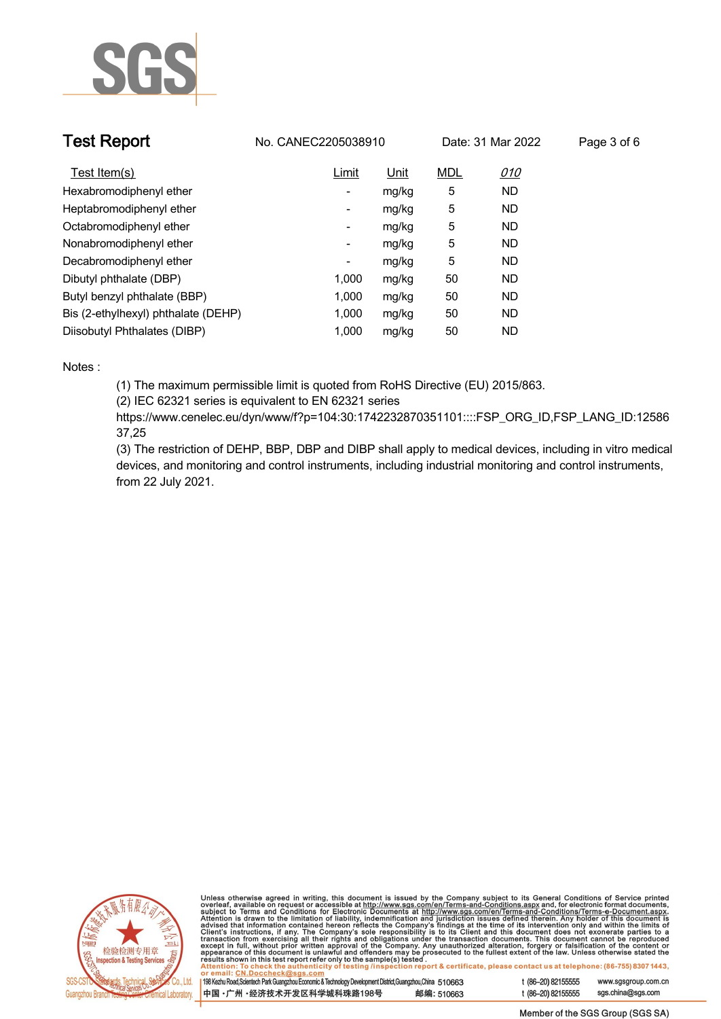

| <b>Test Report</b>                  | No. CANEC2205038910      |             |            | Date: 31 Mar 2022 | Page 3 of 6 |
|-------------------------------------|--------------------------|-------------|------------|-------------------|-------------|
| Test Item(s)                        | Limit                    | <u>Unit</u> | <b>MDL</b> | <u>010</u>        |             |
| Hexabromodiphenyl ether             | ٠                        | mg/kg       | 5          | <b>ND</b>         |             |
| Heptabromodiphenyl ether            | ٠                        | mg/kg       | 5          | <b>ND</b>         |             |
| Octabromodiphenyl ether             | $\overline{\phantom{a}}$ | mg/kg       | 5          | <b>ND</b>         |             |
| Nonabromodiphenyl ether             | $\overline{\phantom{a}}$ | mg/kg       | 5          | <b>ND</b>         |             |
| Decabromodiphenyl ether             | -                        | mg/kg       | 5          | <b>ND</b>         |             |
| Dibutyl phthalate (DBP)             | 1.000                    | mg/kg       | 50         | <b>ND</b>         |             |
| Butyl benzyl phthalate (BBP)        | 1.000                    | mg/kg       | 50         | <b>ND</b>         |             |
| Bis (2-ethylhexyl) phthalate (DEHP) | 1.000                    | mg/kg       | 50         | <b>ND</b>         |             |
| Diisobutyl Phthalates (DIBP)        | 1.000                    | mg/kg       | 50         | ND                |             |

### **Notes :.**

**(1) The maximum permissible limit is quoted from RoHS Directive (EU) 2015/863.**

**(2) IEC 62321 series is equivalent to EN 62321 series**

**https://www.cenelec.eu/dyn/www/f?p=104:30:1742232870351101::::FSP\_ORG\_ID,FSP\_LANG\_ID:12586 37,25**

**(3) The restriction of DEHP, BBP, DBP and DIBP shall apply to medical devices, including in vitro medical devices, and monitoring and control instruments, including industrial monitoring and control instruments, from 22 July 2021..**



Unless otherwise agreed in writing, this document is issued by the Company subject to its General Conditions of Service printed<br>overleaf, available on request or accessible at http://www.sgs.com/en/Terms-and-Conditions.as

| 198 Kezhu Road,Scientech Park Guangzhou Economic & Technology Development District,Guangzhou,China 510663 |            |
|-----------------------------------------------------------------------------------------------------------|------------|
| 中国 •广州 •经济技术开发区科学城科珠路198号                                                                                 | 邮编: 510663 |

www.sgsgroup.com.cn

t (86-20) 82155555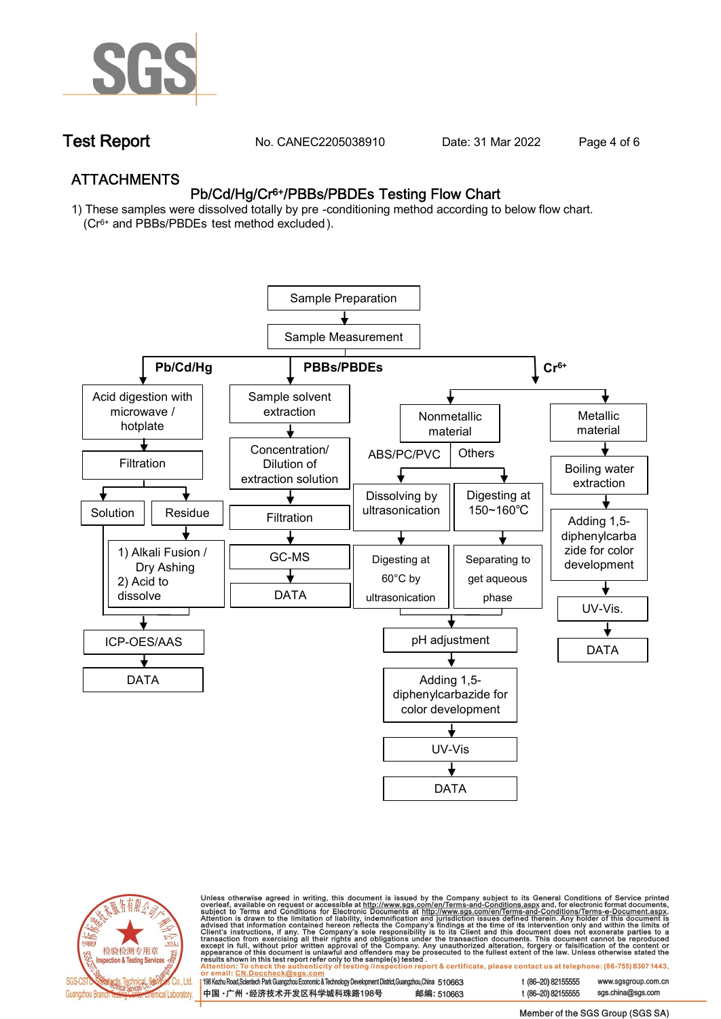

**Test Report. No. CANEC2205038910 . Date: 31 Mar 2022 . Page 4 of 6.**

## **ATTACHMENTS Pb/Cd/Hg/Cr6+/PBBs/PBDEs Testing Flow Chart**

**1) These samples were dissolved totally by pre -conditioning method according to below flow chart. (Cr6+ and PBBs/PBDEs test method excluded ).**





Unless otherwise agreed in writing, this document is issued by the Company subject to its General Conditions of Service printed<br>overleaf, available on request or accessible at <u>http://www.sgs.com/en/Terms-and-Conditions.a</u>

| 198 Kezhu Road,Scientech Park Guangzhou Economic & Technology Development District,Guangzhou,China 510663 |            |
|-----------------------------------------------------------------------------------------------------------|------------|
| 中国 •广州 •经济技术开发区科学城科珠路198号                                                                                 | 邮编: 510663 |

t (86-20) 82155555 www.sgsgroup.com.cn t (86-20) 82155555 sas.china@sas.com

Member of the SGS Group (SGS SA)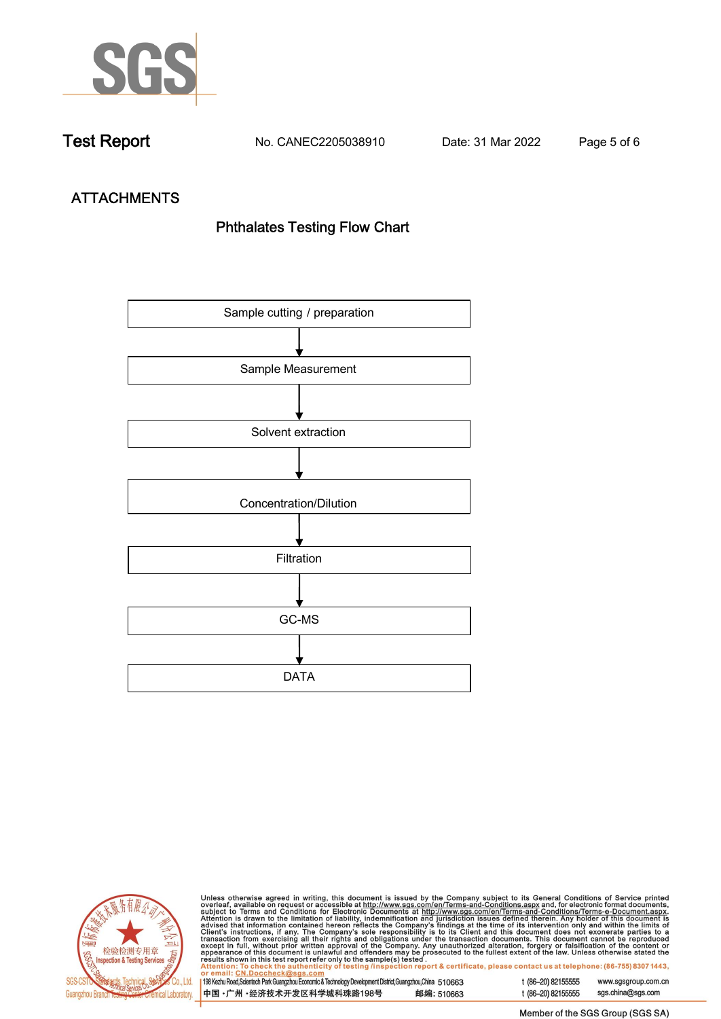

**Test Report. No. CANEC2205038910 . Date: 31 Mar 2022 . Page 5 of 6.**

# **ATTACHMENTS Phthalates Testing Flow Chart**





Unless otherwise agreed in writing, this document is issued by the Company subject to its General Conditions of Service printed<br>overleaf, available on request or accessible at http://www.sgs.com/en/Terms-and-Conditions.as

| <u>UI CIIIAII. UN.DUCCIICONIUSUS.COIII</u>                                                                |            |  |
|-----------------------------------------------------------------------------------------------------------|------------|--|
| 198 Kezhu Road,Scientech Park Guangzhou Economic & Technology Development District,Guangzhou,China 510663 |            |  |
|                                                                                                           |            |  |
| 中国 •广州 •经济技术开发区科学城科珠路198号                                                                                 | 邮编: 510663 |  |
|                                                                                                           |            |  |

t (86-20) 82155555 www.sgsgroup.com.cn t (86-20) 82155555 sgs.china@sgs.com